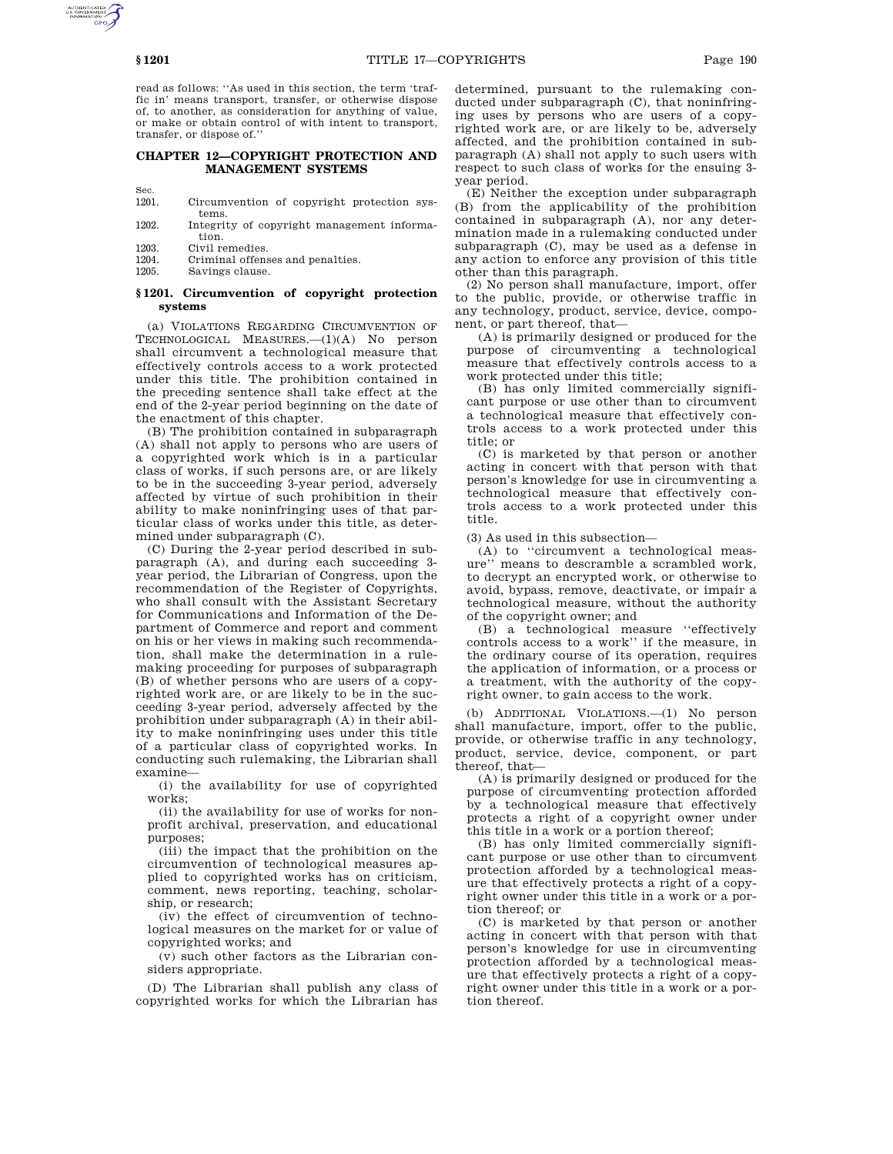read as follows: ''As used in this section, the term 'traffic in' means transport, transfer, or otherwise dispose of, to another, as consideration for anything of value, or make or obtain control of with intent to transport, transfer, or dispose of.''

## **CHAPTER 12—COPYRIGHT PROTECTION AND MANAGEMENT SYSTEMS**

Sec.<br>1201.

- Circumvention of copyright protection systems.
- 1202. Integrity of copyright management information.
- 1203. Civil remedies.
- 1204. Criminal offenses and penalties.<br>1205 Savings clause
- Savings clause.

# **§ 1201. Circumvention of copyright protection systems**

(a) VIOLATIONS REGARDING CIRCUMVENTION OF TECHNOLOGICAL MEASURES.—(1)(A) No person shall circumvent a technological measure that effectively controls access to a work protected under this title. The prohibition contained in the preceding sentence shall take effect at the end of the 2-year period beginning on the date of the enactment of this chapter.

(B) The prohibition contained in subparagraph (A) shall not apply to persons who are users of a copyrighted work which is in a particular class of works, if such persons are, or are likely to be in the succeeding 3-year period, adversely affected by virtue of such prohibition in their ability to make noninfringing uses of that particular class of works under this title, as determined under subparagraph (C).

(C) During the 2-year period described in subparagraph (A), and during each succeeding 3 year period, the Librarian of Congress, upon the recommendation of the Register of Copyrights, who shall consult with the Assistant Secretary for Communications and Information of the Department of Commerce and report and comment on his or her views in making such recommendation, shall make the determination in a rulemaking proceeding for purposes of subparagraph (B) of whether persons who are users of a copyrighted work are, or are likely to be in the succeeding 3-year period, adversely affected by the prohibition under subparagraph (A) in their ability to make noninfringing uses under this title of a particular class of copyrighted works. In conducting such rulemaking, the Librarian shall examine—

(i) the availability for use of copyrighted works;

(ii) the availability for use of works for nonprofit archival, preservation, and educational purposes;

(iii) the impact that the prohibition on the circumvention of technological measures applied to copyrighted works has on criticism, comment, news reporting, teaching, scholarship, or research;

(iv) the effect of circumvention of technological measures on the market for or value of copyrighted works; and

(v) such other factors as the Librarian considers appropriate.

(D) The Librarian shall publish any class of copyrighted works for which the Librarian has

determined, pursuant to the rulemaking conducted under subparagraph (C), that noninfringing uses by persons who are users of a copyrighted work are, or are likely to be, adversely affected, and the prohibition contained in subparagraph (A) shall not apply to such users with respect to such class of works for the ensuing 3 year period.

(E) Neither the exception under subparagraph (B) from the applicability of the prohibition contained in subparagraph (A), nor any determination made in a rulemaking conducted under subparagraph (C), may be used as a defense in any action to enforce any provision of this title other than this paragraph.

(2) No person shall manufacture, import, offer to the public, provide, or otherwise traffic in any technology, product, service, device, component, or part thereof, that—

(A) is primarily designed or produced for the purpose of circumventing a technological measure that effectively controls access to a work protected under this title;

(B) has only limited commercially significant purpose or use other than to circumvent a technological measure that effectively controls access to a work protected under this title; or

(C) is marketed by that person or another acting in concert with that person with that person's knowledge for use in circumventing a technological measure that effectively controls access to a work protected under this title.

(3) As used in this subsection—

(A) to ''circumvent a technological measure'' means to descramble a scrambled work, to decrypt an encrypted work, or otherwise to avoid, bypass, remove, deactivate, or impair a technological measure, without the authority of the copyright owner; and

(B) a technological measure ''effectively controls access to a work'' if the measure, in the ordinary course of its operation, requires the application of information, or a process or a treatment, with the authority of the copyright owner, to gain access to the work.

(b) ADDITIONAL VIOLATIONS.—(1) No person shall manufacture, import, offer to the public, provide, or otherwise traffic in any technology, product, service, device, component, or part thereof, that—

(A) is primarily designed or produced for the purpose of circumventing protection afforded by a technological measure that effectively protects a right of a copyright owner under this title in a work or a portion thereof;

(B) has only limited commercially significant purpose or use other than to circumvent protection afforded by a technological measure that effectively protects a right of a copyright owner under this title in a work or a portion thereof; or

(C) is marketed by that person or another acting in concert with that person with that person's knowledge for use in circumventing protection afforded by a technological measure that effectively protects a right of a copyright owner under this title in a work or a portion thereof.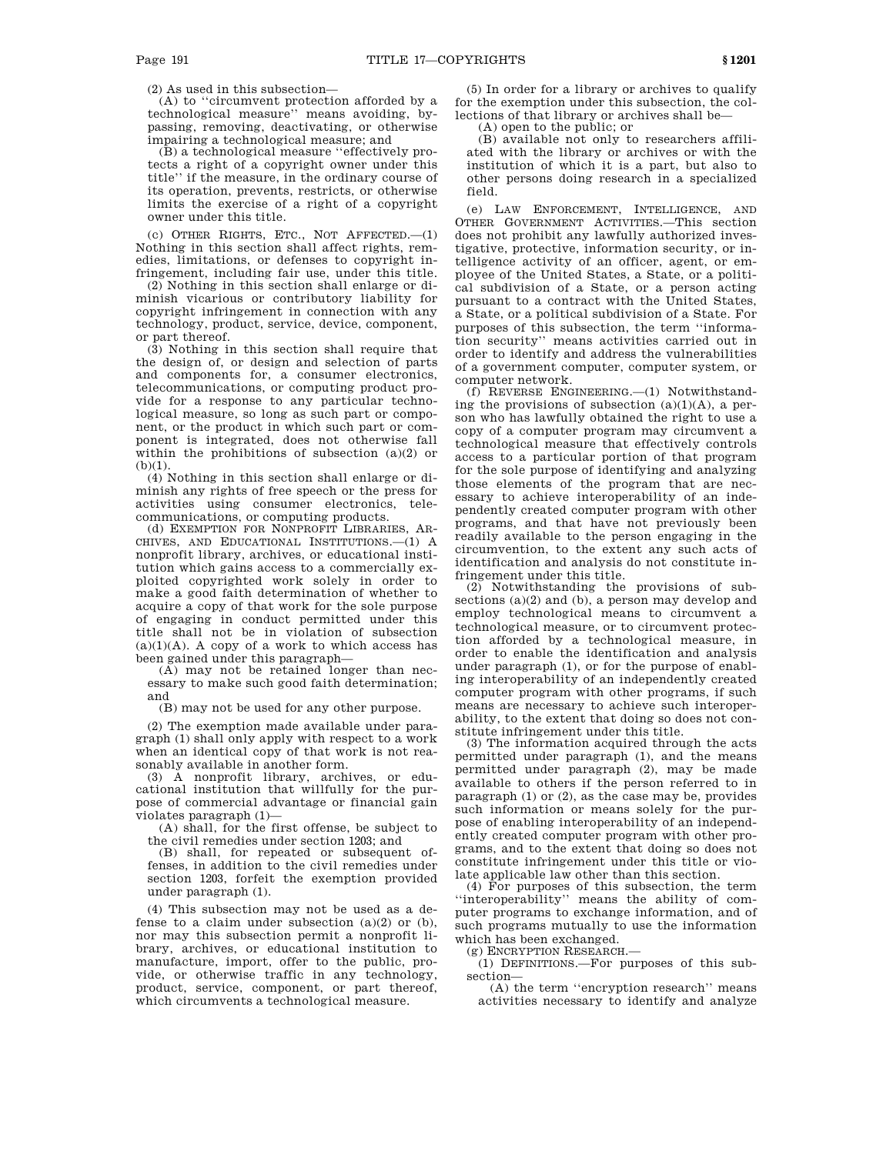(2) As used in this subsection—

(A) to ''circumvent protection afforded by a technological measure'' means avoiding, bypassing, removing, deactivating, or otherwise impairing a technological measure; and

(B) a technological measure ''effectively protects a right of a copyright owner under this title'' if the measure, in the ordinary course of its operation, prevents, restricts, or otherwise limits the exercise of a right of a copyright owner under this title.

(c) OTHER RIGHTS, ETC., NOT AFFECTED.—(1) Nothing in this section shall affect rights, remedies, limitations, or defenses to copyright infringement, including fair use, under this title.

(2) Nothing in this section shall enlarge or diminish vicarious or contributory liability for copyright infringement in connection with any technology, product, service, device, component, or part thereof.

(3) Nothing in this section shall require that the design of, or design and selection of parts and components for, a consumer electronics, telecommunications, or computing product provide for a response to any particular technological measure, so long as such part or component, or the product in which such part or component is integrated, does not otherwise fall within the prohibitions of subsection (a)(2) or  $(b)(1)$ .

(4) Nothing in this section shall enlarge or diminish any rights of free speech or the press for activities using consumer electronics, telecommunications, or computing products.

(d) EXEMPTION FOR NONPROFIT LIBRARIES, AR-CHIVES, AND EDUCATIONAL INSTITUTIONS.—(1) A nonprofit library, archives, or educational institution which gains access to a commercially exploited copyrighted work solely in order to make a good faith determination of whether to acquire a copy of that work for the sole purpose of engaging in conduct permitted under this title shall not be in violation of subsection  $(a)(1)(A)$ . A copy of a work to which access has been gained under this paragraph—

(A) may not be retained longer than necessary to make such good faith determination; and

(B) may not be used for any other purpose.

(2) The exemption made available under paragraph (1) shall only apply with respect to a work when an identical copy of that work is not reasonably available in another form.

(3) A nonprofit library, archives, or educational institution that willfully for the purpose of commercial advantage or financial gain violates paragraph (1)—

(A) shall, for the first offense, be subject to the civil remedies under section 1203; and

(B) shall, for repeated or subsequent offenses, in addition to the civil remedies under section 1203, forfeit the exemption provided under paragraph (1).

(4) This subsection may not be used as a defense to a claim under subsection  $(a)(2)$  or  $(b)$ , nor may this subsection permit a nonprofit library, archives, or educational institution to manufacture, import, offer to the public, provide, or otherwise traffic in any technology, product, service, component, or part thereof, which circumvents a technological measure.

(5) In order for a library or archives to qualify for the exemption under this subsection, the collections of that library or archives shall be—

(A) open to the public; or

(B) available not only to researchers affiliated with the library or archives or with the institution of which it is a part, but also to other persons doing research in a specialized field.

(e) LAW ENFORCEMENT, INTELLIGENCE, AND OTHER GOVERNMENT ACTIVITIES.—This section does not prohibit any lawfully authorized investigative, protective, information security, or intelligence activity of an officer, agent, or employee of the United States, a State, or a political subdivision of a State, or a person acting pursuant to a contract with the United States, a State, or a political subdivision of a State. For purposes of this subsection, the term ''information security'' means activities carried out in order to identify and address the vulnerabilities of a government computer, computer system, or computer network.

(f) REVERSE ENGINEERING.—(1) Notwithstanding the provisions of subsection (a)(1)(A), a person who has lawfully obtained the right to use a copy of a computer program may circumvent a technological measure that effectively controls access to a particular portion of that program for the sole purpose of identifying and analyzing those elements of the program that are necessary to achieve interoperability of an independently created computer program with other programs, and that have not previously been readily available to the person engaging in the circumvention, to the extent any such acts of identification and analysis do not constitute infringement under this title.

(2) Notwithstanding the provisions of subsections (a)(2) and (b), a person may develop and employ technological means to circumvent a technological measure, or to circumvent protection afforded by a technological measure, in order to enable the identification and analysis under paragraph (1), or for the purpose of enabling interoperability of an independently created computer program with other programs, if such means are necessary to achieve such interoperability, to the extent that doing so does not constitute infringement under this title.

(3) The information acquired through the acts permitted under paragraph (1), and the means permitted under paragraph (2), may be made available to others if the person referred to in paragraph (1) or (2), as the case may be, provides such information or means solely for the purpose of enabling interoperability of an independently created computer program with other programs, and to the extent that doing so does not constitute infringement under this title or violate applicable law other than this section.

(4) For purposes of this subsection, the term ''interoperability'' means the ability of computer programs to exchange information, and of such programs mutually to use the information which has been exchanged.

(g) ENCRYPTION RESEARCH.—

(1) DEFINITIONS.—For purposes of this subsection—

(A) the term ''encryption research'' means activities necessary to identify and analyze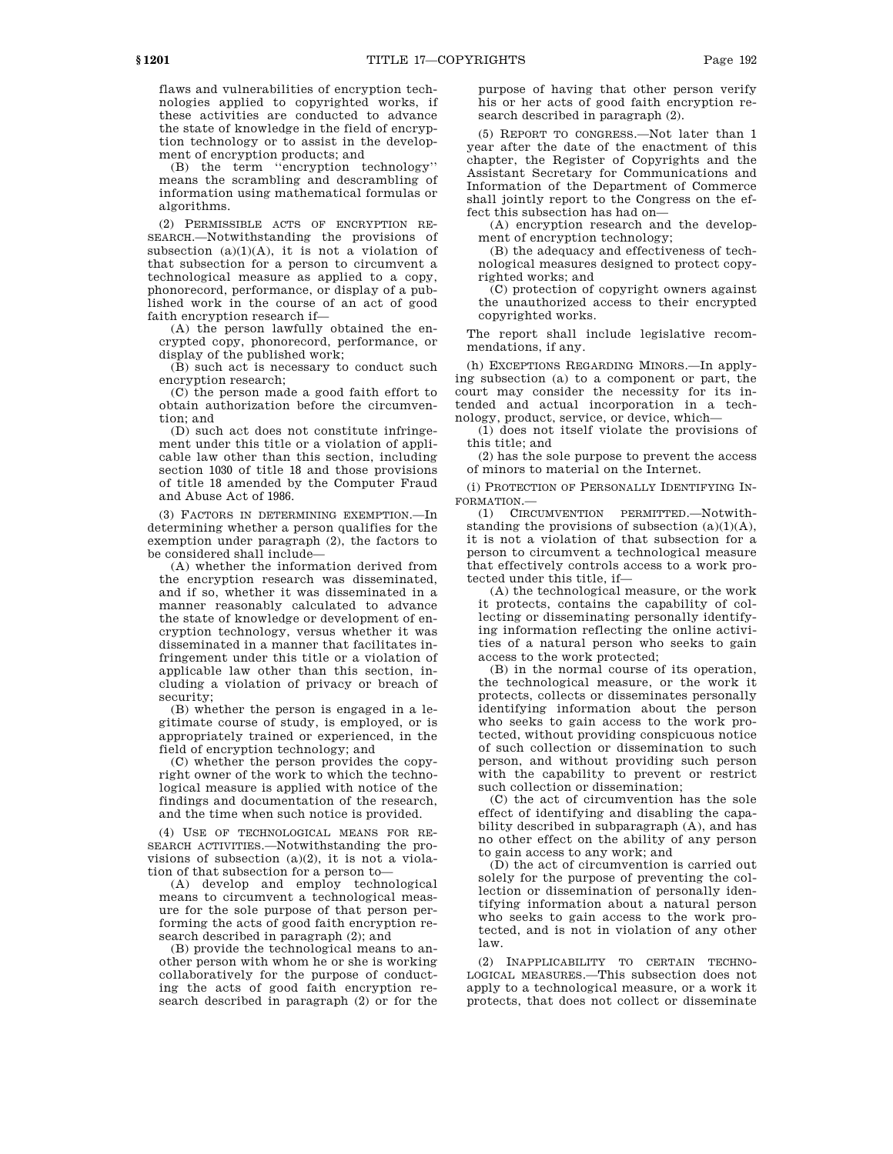flaws and vulnerabilities of encryption technologies applied to copyrighted works, if these activities are conducted to advance the state of knowledge in the field of encryption technology or to assist in the development of encryption products; and

(B) the term ''encryption technology'' means the scrambling and descrambling of information using mathematical formulas or algorithms.

(2) PERMISSIBLE ACTS OF ENCRYPTION RE-SEARCH.—Notwithstanding the provisions of subsection  $(a)(1)(A)$ , it is not a violation of that subsection for a person to circumvent a technological measure as applied to a copy, phonorecord, performance, or display of a published work in the course of an act of good faith encryption research if—

(A) the person lawfully obtained the encrypted copy, phonorecord, performance, or display of the published work;

(B) such act is necessary to conduct such encryption research;

(C) the person made a good faith effort to obtain authorization before the circumvention; and

(D) such act does not constitute infringement under this title or a violation of applicable law other than this section, including section 1030 of title 18 and those provisions of title 18 amended by the Computer Fraud and Abuse Act of 1986.

(3) FACTORS IN DETERMINING EXEMPTION.—In determining whether a person qualifies for the exemption under paragraph (2), the factors to be considered shall include—

(A) whether the information derived from the encryption research was disseminated, and if so, whether it was disseminated in a manner reasonably calculated to advance the state of knowledge or development of encryption technology, versus whether it was disseminated in a manner that facilitates infringement under this title or a violation of applicable law other than this section, including a violation of privacy or breach of security;

(B) whether the person is engaged in a legitimate course of study, is employed, or is appropriately trained or experienced, in the field of encryption technology; and

(C) whether the person provides the copyright owner of the work to which the technological measure is applied with notice of the findings and documentation of the research, and the time when such notice is provided.

(4) USE OF TECHNOLOGICAL MEANS FOR RE-SEARCH ACTIVITIES.—Notwithstanding the provisions of subsection (a)(2), it is not a violation of that subsection for a person to—

(A) develop and employ technological means to circumvent a technological measure for the sole purpose of that person performing the acts of good faith encryption research described in paragraph (2); and

(B) provide the technological means to another person with whom he or she is working collaboratively for the purpose of conducting the acts of good faith encryption research described in paragraph (2) or for the purpose of having that other person verify his or her acts of good faith encryption research described in paragraph (2).

(5) REPORT TO CONGRESS.—Not later than 1 year after the date of the enactment of this chapter, the Register of Copyrights and the Assistant Secretary for Communications and Information of the Department of Commerce shall jointly report to the Congress on the effect this subsection has had on—

(A) encryption research and the development of encryption technology;

(B) the adequacy and effectiveness of technological measures designed to protect copyrighted works; and

(C) protection of copyright owners against the unauthorized access to their encrypted copyrighted works.

The report shall include legislative recommendations, if any.

(h) EXCEPTIONS REGARDING MINORS.—In applying subsection (a) to a component or part, the court may consider the necessity for its intended and actual incorporation in a technology, product, service, or device, which—

(1) does not itself violate the provisions of this title; and

(2) has the sole purpose to prevent the access of minors to material on the Internet.

(i) PROTECTION OF PERSONALLY IDENTIFYING IN-FORMATION.—

(1) CIRCUMVENTION PERMITTED.—Notwithstanding the provisions of subsection  $(a)(1)(A)$ , it is not a violation of that subsection for a person to circumvent a technological measure that effectively controls access to a work protected under this title, if—

(A) the technological measure, or the work it protects, contains the capability of collecting or disseminating personally identifying information reflecting the online activities of a natural person who seeks to gain access to the work protected;

(B) in the normal course of its operation, the technological measure, or the work it protects, collects or disseminates personally identifying information about the person who seeks to gain access to the work protected, without providing conspicuous notice of such collection or dissemination to such person, and without providing such person with the capability to prevent or restrict such collection or dissemination;

(C) the act of circumvention has the sole effect of identifying and disabling the capability described in subparagraph (A), and has no other effect on the ability of any person to gain access to any work; and

(D) the act of circumvention is carried out solely for the purpose of preventing the collection or dissemination of personally identifying information about a natural person who seeks to gain access to the work protected, and is not in violation of any other law.

(2) INAPPLICABILITY TO CERTAIN TECHNO-LOGICAL MEASURES.—This subsection does not apply to a technological measure, or a work it protects, that does not collect or disseminate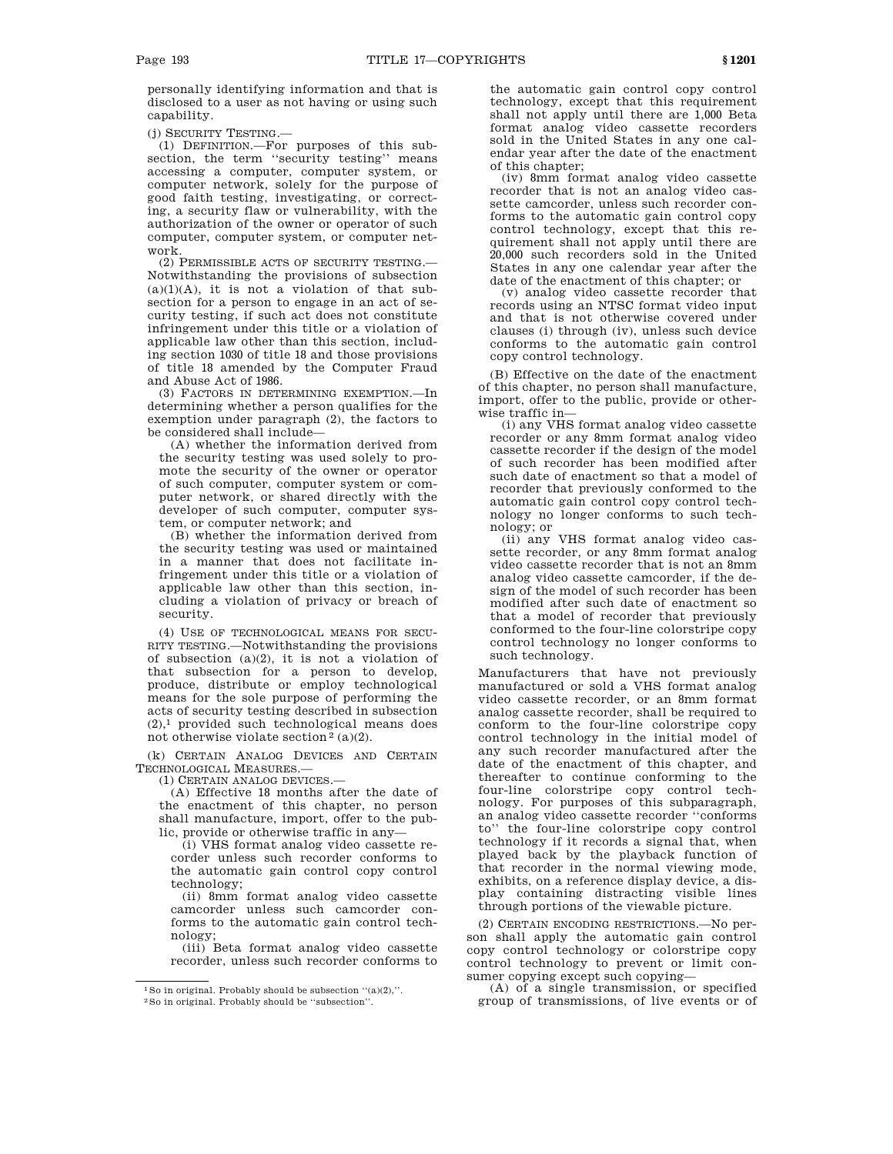personally identifying information and that is disclosed to a user as not having or using such capability.

(j) SECURITY TESTING.—

(1) DEFINITION.—For purposes of this subsection, the term "security testing" means accessing a computer, computer system, or computer network, solely for the purpose of good faith testing, investigating, or correcting, a security flaw or vulnerability, with the authorization of the owner or operator of such computer, computer system, or computer network.

(2) PERMISSIBLE ACTS OF SECURITY TESTING.— Notwithstanding the provisions of subsection  $(a)(1)(A)$ , it is not a violation of that subsection for a person to engage in an act of security testing, if such act does not constitute infringement under this title or a violation of applicable law other than this section, including section 1030 of title 18 and those provisions of title 18 amended by the Computer Fraud and Abuse Act of 1986.

(3) FACTORS IN DETERMINING EXEMPTION.—In determining whether a person qualifies for the exemption under paragraph (2), the factors to be considered shall include—

(A) whether the information derived from the security testing was used solely to promote the security of the owner or operator of such computer, computer system or computer network, or shared directly with the developer of such computer, computer system, or computer network; and

(B) whether the information derived from the security testing was used or maintained in a manner that does not facilitate infringement under this title or a violation of applicable law other than this section, including a violation of privacy or breach of security.

(4) USE OF TECHNOLOGICAL MEANS FOR SECU-RITY TESTING.—Notwithstanding the provisions of subsection (a)(2), it is not a violation of that subsection for a person to develop, produce, distribute or employ technological means for the sole purpose of performing the acts of security testing described in subsection  $(2)$ ,<sup>1</sup> provided such technological means does not otherwise violate section<sup>2</sup> (a)(2).

(k) CERTAIN ANALOG DEVICES AND CERTAIN TECHNOLOGICAL MEASURES.—

(1) CERTAIN ANALOG DEVICES.—

(A) Effective 18 months after the date of the enactment of this chapter, no person shall manufacture, import, offer to the public, provide or otherwise traffic in any—

(i) VHS format analog video cassette recorder unless such recorder conforms to the automatic gain control copy control technology;

(ii) 8mm format analog video cassette camcorder unless such camcorder conforms to the automatic gain control technology;

(iii) Beta format analog video cassette recorder, unless such recorder conforms to

the automatic gain control copy control technology, except that this requirement shall not apply until there are 1,000 Beta format analog video cassette recorders sold in the United States in any one calendar year after the date of the enactment of this chapter;

(iv) 8mm format analog video cassette recorder that is not an analog video cassette camcorder, unless such recorder conforms to the automatic gain control copy control technology, except that this requirement shall not apply until there are 20,000 such recorders sold in the United States in any one calendar year after the date of the enactment of this chapter; or

(v) analog video cassette recorder that records using an NTSC format video input and that is not otherwise covered under clauses (i) through (iv), unless such device conforms to the automatic gain control copy control technology.

(B) Effective on the date of the enactment of this chapter, no person shall manufacture, import, offer to the public, provide or otherwise traffic in—

(i) any VHS format analog video cassette recorder or any 8mm format analog video cassette recorder if the design of the model of such recorder has been modified after such date of enactment so that a model of recorder that previously conformed to the automatic gain control copy control technology no longer conforms to such technology; or

(ii) any VHS format analog video cassette recorder, or any 8mm format analog video cassette recorder that is not an 8mm analog video cassette camcorder, if the design of the model of such recorder has been modified after such date of enactment so that a model of recorder that previously conformed to the four-line colorstripe copy control technology no longer conforms to such technology.

Manufacturers that have not previously manufactured or sold a VHS format analog video cassette recorder, or an 8mm format analog cassette recorder, shall be required to conform to the four-line colorstripe copy control technology in the initial model of any such recorder manufactured after the date of the enactment of this chapter, and thereafter to continue conforming to the four-line colorstripe copy control technology. For purposes of this subparagraph, an analog video cassette recorder ''conforms to'' the four-line colorstripe copy control technology if it records a signal that, when played back by the playback function of that recorder in the normal viewing mode, exhibits, on a reference display device, a display containing distracting visible lines through portions of the viewable picture.

(2) CERTAIN ENCODING RESTRICTIONS.—No person shall apply the automatic gain control copy control technology or colorstripe copy control technology to prevent or limit consumer copying except such copying—

(A) of a single transmission, or specified group of transmissions, of live events or of

<sup>&</sup>lt;sup>1</sup> So in original. Probably should be subsection  $((a)(2))$ .

<sup>2</sup>So in original. Probably should be ''subsection''.